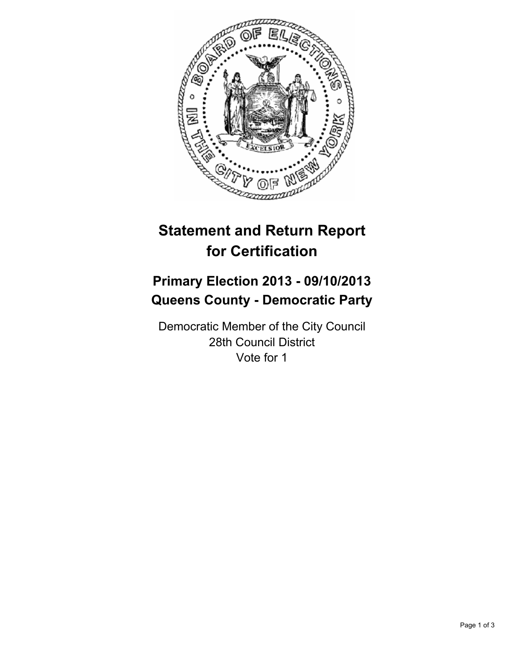

# **Statement and Return Report for Certification**

## **Primary Election 2013 - 09/10/2013 Queens County - Democratic Party**

Democratic Member of the City Council 28th Council District Vote for 1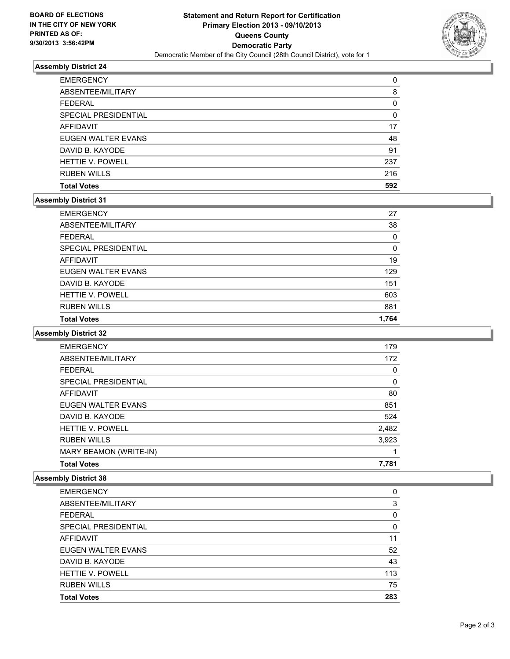

#### **Assembly District 24**

| <b>EMERGENCY</b>        | 0   |
|-------------------------|-----|
| ABSENTEE/MILITARY       | 8   |
| <b>FEDERAL</b>          | 0   |
| SPECIAL PRESIDENTIAL    | 0   |
| <b>AFFIDAVIT</b>        | 17  |
| EUGEN WALTER EVANS      | 48  |
| DAVID B. KAYODE         | 91  |
| <b>HETTIE V. POWELL</b> | 237 |
| <b>RUBEN WILLS</b>      | 216 |
| <b>Total Votes</b>      | 592 |

#### **Assembly District 31**

| <b>HETTIE V. POWELL</b>                | 603       |
|----------------------------------------|-----------|
| DAVID B. KAYODE                        | 151       |
| <b>AFFIDAVIT</b><br>EUGEN WALTER EVANS | 19<br>129 |
| SPECIAL PRESIDENTIAL                   | 0         |
| <b>FEDERAL</b>                         | 0         |
| ABSENTEE/MILITARY                      | 38        |
| <b>EMERGENCY</b>                       | 27        |

#### **Assembly District 32**

| <b>EMERGENCY</b>        | 179      |
|-------------------------|----------|
| ABSENTEE/MILITARY       | 172      |
| <b>FEDERAL</b>          | $\Omega$ |
| SPECIAL PRESIDENTIAL    | 0        |
| <b>AFFIDAVIT</b>        | 80       |
| EUGEN WALTER EVANS      | 851      |
| DAVID B. KAYODE         | 524      |
| <b>HETTIE V. POWELL</b> | 2,482    |
| <b>RUBEN WILLS</b>      | 3,923    |
| MARY BEAMON (WRITE-IN)  |          |
| <b>Total Votes</b>      | 7.781    |

### **Assembly District 38**

| <b>EMERGENCY</b>        | 0        |
|-------------------------|----------|
| ABSENTEE/MILITARY       | 3        |
| <b>FEDERAL</b>          | 0        |
| SPECIAL PRESIDENTIAL    | $\Omega$ |
| <b>AFFIDAVIT</b>        | 11       |
| EUGEN WALTER EVANS      | 52       |
| DAVID B. KAYODE         | 43       |
| <b>HETTIE V. POWELL</b> | 113      |
| <b>RUBEN WILLS</b>      | 75       |
| <b>Total Votes</b>      | 283      |
|                         |          |